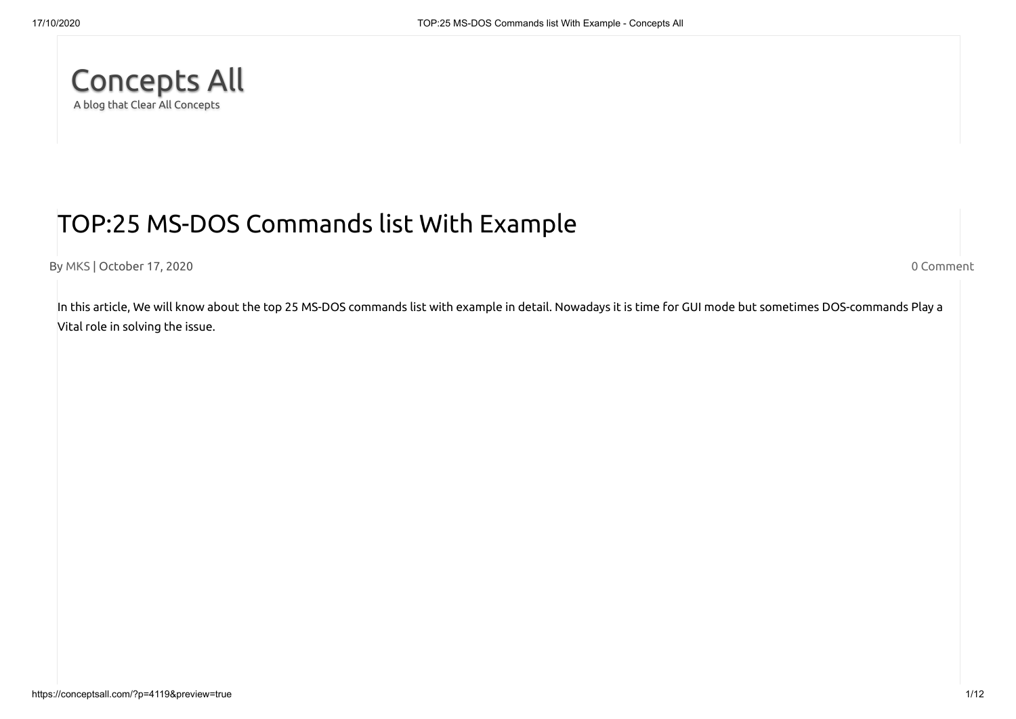

# TOP:25 MS-DOS Commands list With Example

By [MKS](https://conceptsall.com/author/munna123/) | October 17, 2020 0 [Comment](https://conceptsall.com/?p=4119#respond)

In this article, We will know about the top 25 MS-DOS commands list with example in detail. Nowadays it is time for GUI mode but sometimes DOS-commands Play a Vital role in solving the issue.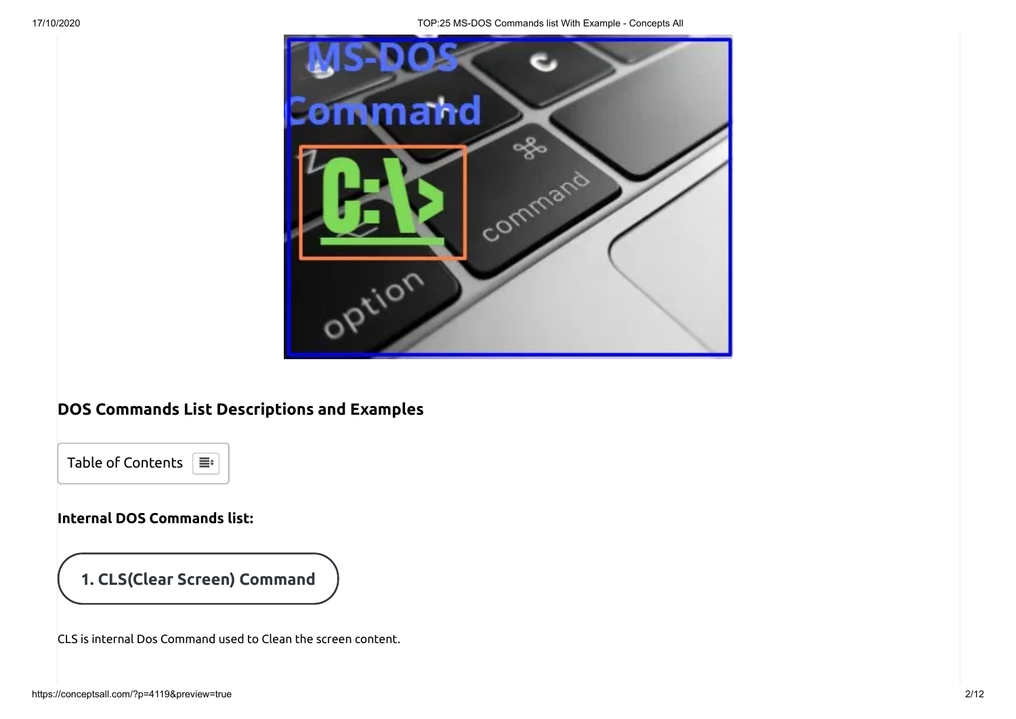17/10/2020 TOP:25 MS-DOS Commands list With Example - Concepts All



# **DOS Commands List Descriptions and Examples**



### **Internal DOS Commands list:**

# **1. CLS(Clear Screen) Command**

CLS is internal Dos Command used to Clean the screen content.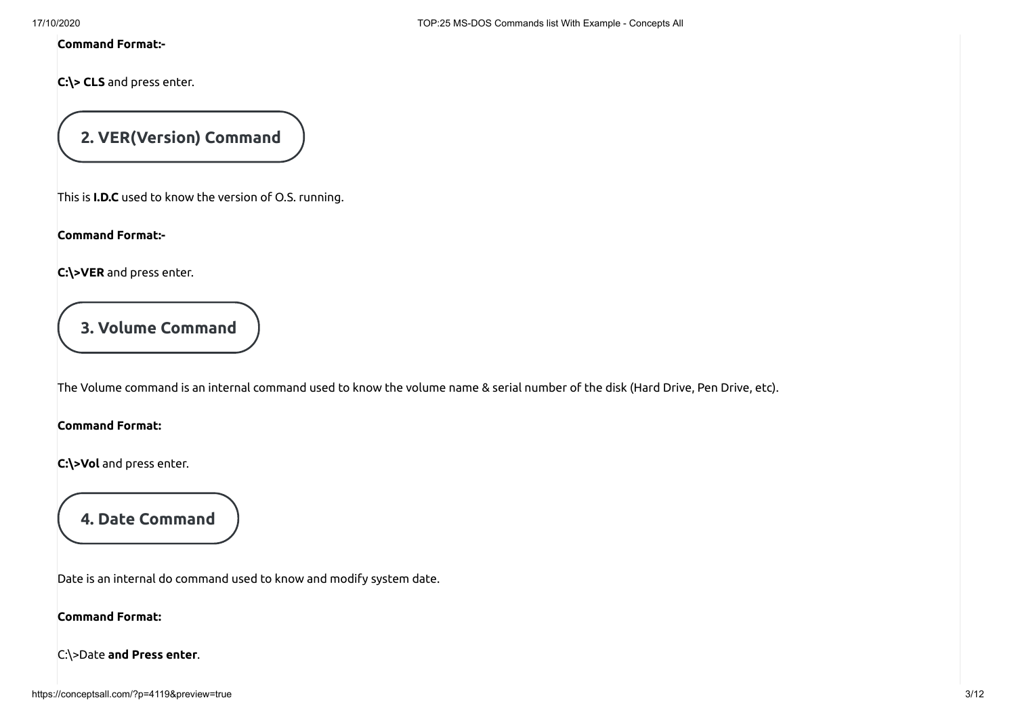#### **Command Format:-**

**C:\> CLS** and press enter.

# **2. VER(Version) Command**

This is **I.D.C** used to know the version of O.S. running.

**Command Format:-**

**C:\>VER** and press enter.

### **3. Volume Command**

The Volume command is an internal command used to know the volume name & serial number of the disk (Hard Drive, Pen Drive, etc).

**Command Format:**

**C:\>Vol** and press enter.

**4. Date Command**

Date is an internal do command used to know and modify system date.

#### **Command Format:**

C:\>Date **and Press enter**.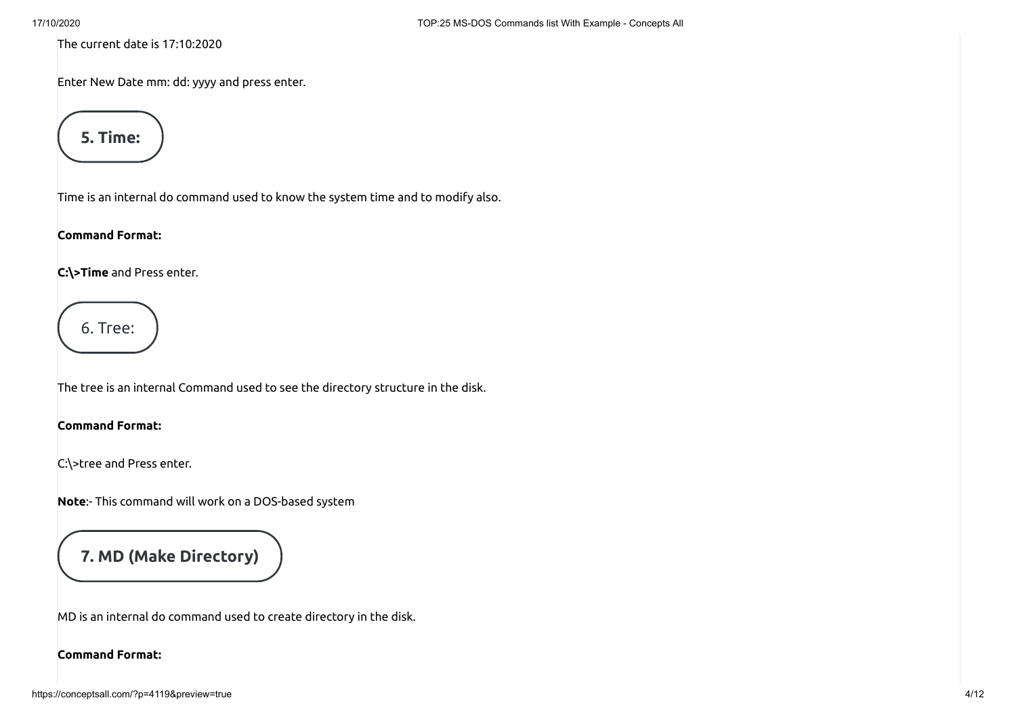The current date is 17:10:2020

Enter New Date mm: dd: yyyy and press enter.



Time is an internal do command used to know the system time and to modify also.

#### **Command Format:**

**C:\>Time** and Press enter.

6. Tree:

The tree is an internal Command used to see the directory structure in the disk.

#### **Command Format:**

C:\>tree and Press enter.

**Note**:- This command will work on a DOS-based system

## **7. MD (Make Directory)**

MD is an internal do command used to create directory in the disk.

#### **Command Format:**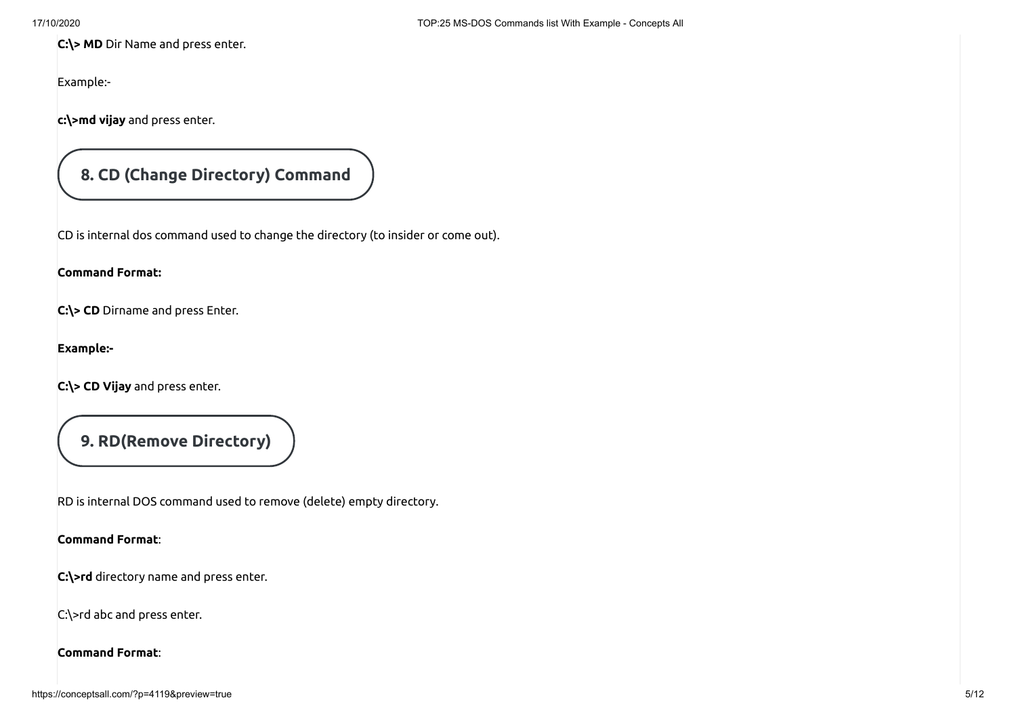**C:\> MD** Dir Name and press enter.

Example:-

**c:\>md vijay** and press enter.

### **8. CD (Change Directory) Command**

CD is internal dos command used to change the directory (to insider or come out).

#### **Command Format:**

**C:\> CD** Dirname and press Enter.

**Example:-**

**C:\> CD Vijay** and press enter.

**9. RD(Remove Directory)**

RD is internal DOS command used to remove (delete) empty directory.

#### **Command Format**:

**C:\>rd** directory name and press enter.

C:\>rd abc and press enter.

#### **Command Format**: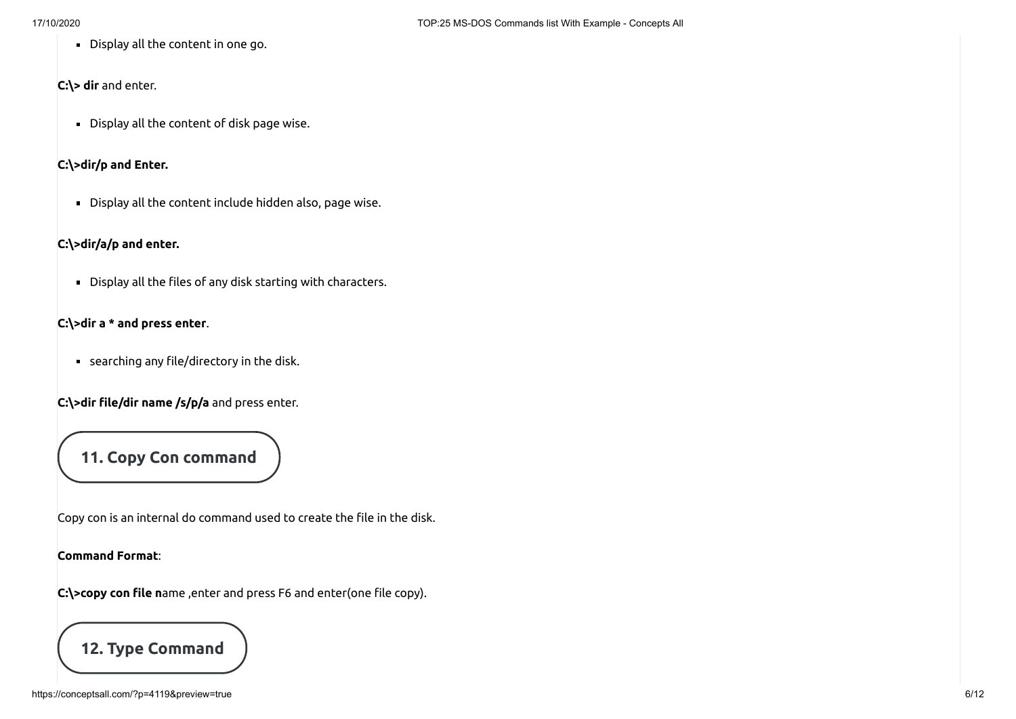Display all the content in one go.

#### **C:\> dir** and enter.

Display all the content of disk page wise.

#### **C:\>dir/p and Enter.**

Display all the content include hidden also, page wise.

#### **C:\>dir/a/p and enter.**

 $\blacksquare$  Display all the files of any disk starting with characters.

#### **C:\>dir a \* and press enter**.

 $\blacksquare$  searching any file/directory in the disk.

**C:\>dir le/dir name /s/p/a** and press enter.

### **11. Copy Con command**

Copy con is an internal do command used to create the file in the disk.

#### **Command Format**:

C:\>copy con file name ,enter and press F6 and enter(one file copy).

### **12. Type Command**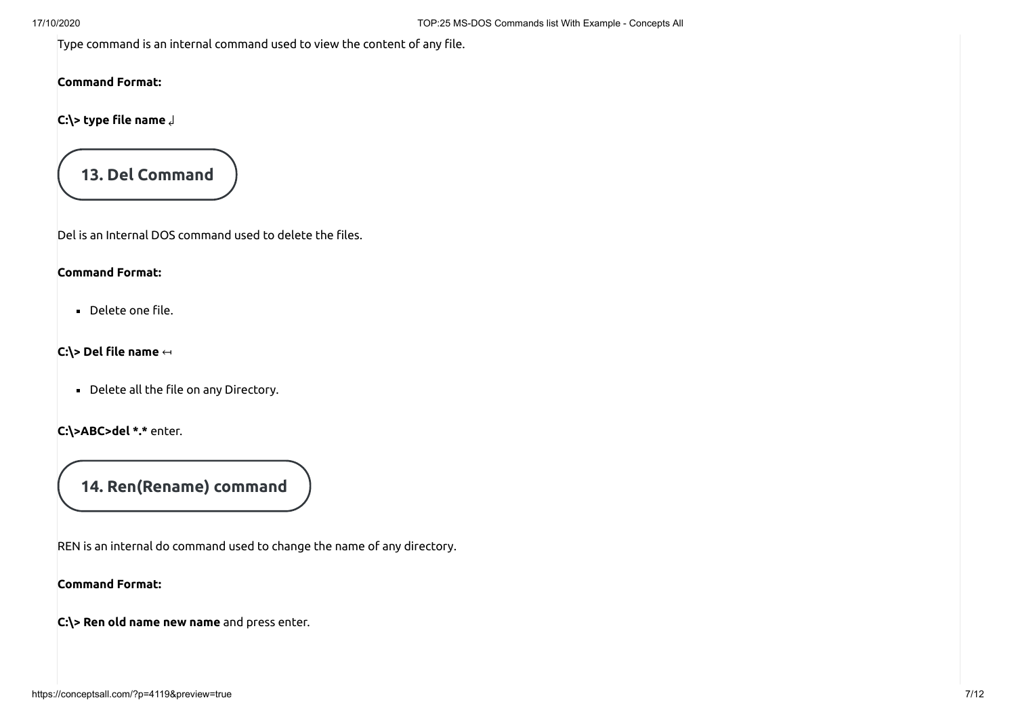Type command is an internal command used to view the content of any file.

#### **Command Format:**

**C:\> type le name** ↲

**13. Del Command**

Del is an Internal DOS command used to delete the files.

#### **Command Format:**

Delete one file.

**C:\> Del le name** ↤

 $\blacksquare$  Delete all the file on any Directory.

**C:\>ABC>del \*.\*** enter.

### **14. Ren(Rename) command**

REN is an internal do command used to change the name of any directory.

#### **Command Format:**

**C:\> Ren old name new name** and press enter.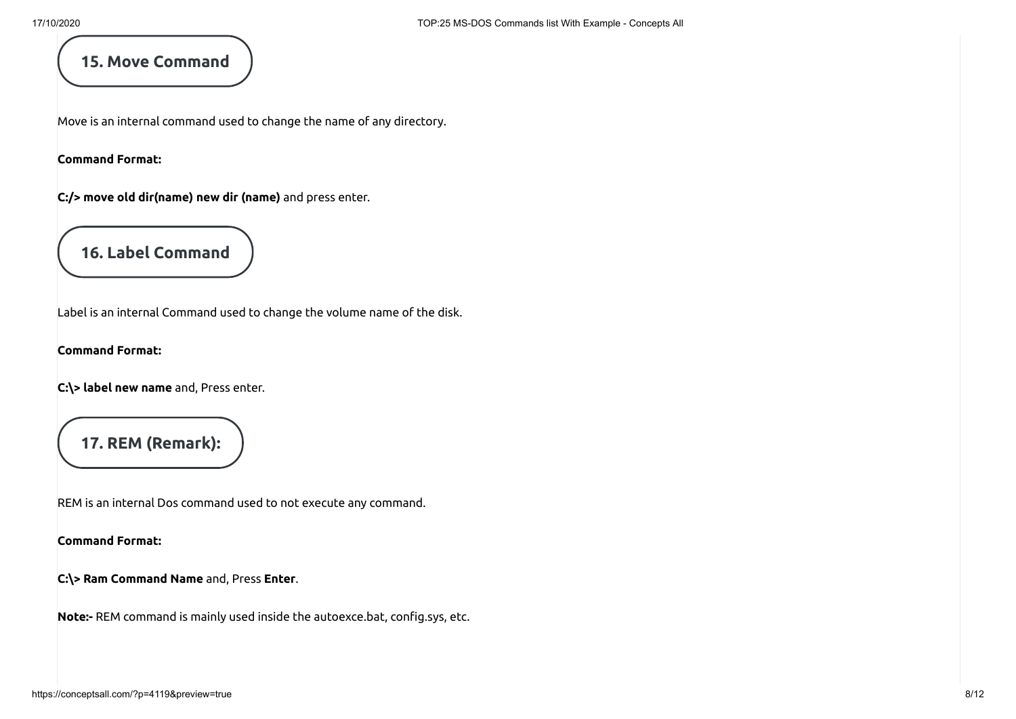### **15. Move Command**

Move is an internal command used to change the name of any directory.

**Command Format:**

**C:/> move old dir(name) new dir (name)** and press enter.

**16. Label Command**

Label is an internal Command used to change the volume name of the disk.

**Command Format:**

**C:\> label new name** and, Press enter.

### **17. REM (Remark):**

REM is an internal Dos command used to not execute any command.

**Command Format:**

**C:\> Ram Command Name** and, Press **Enter**.

**Note:-** REM command is mainly used inside the autoexce.bat, config.sys, etc.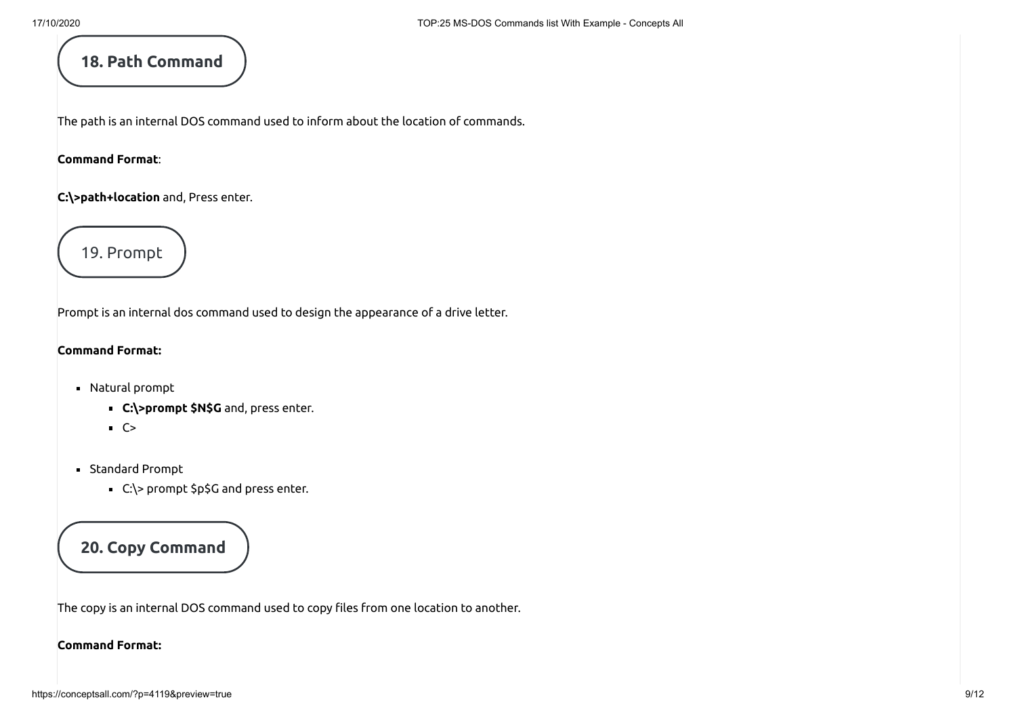### **18. Path Command**

The path is an internal DOS command used to inform about the location of commands.

#### **Command Format**:

**C:\>path+location** and, Press enter.



Prompt is an internal dos command used to design the appearance of a drive letter.

#### **Command Format:**

- Natural prompt
	- **C:\>prompt \$N\$G** and, press enter.
	- $-C>$
- Standard Prompt
	- C:\> prompt \$p\$G and press enter.

### **20. Copy Command**

The copy is an internal DOS command used to copy files from one location to another.

#### **Command Format:**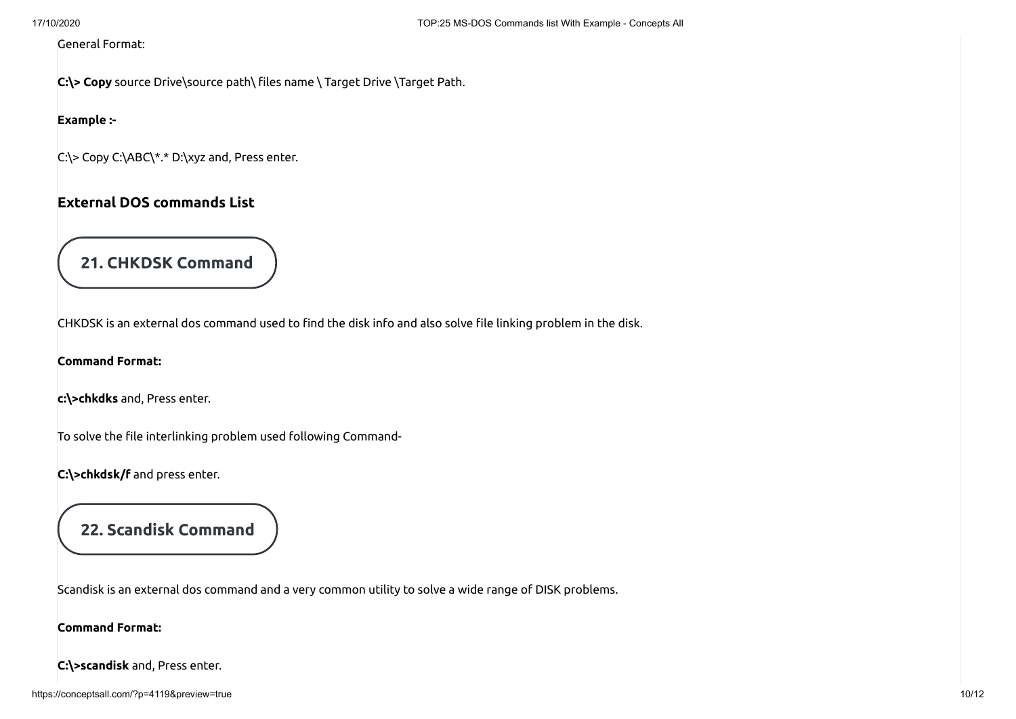#### General Format:

C:\> Copy source Drive\source path\ files name \ Target Drive \Target Path.

#### **Example :-**

C:\> Copy C:\ABC\\*.\* D:\xyz and, Press enter.

### **External DOS commands List**

# **21. CHKDSK Command**

CHKDSK is an external dos command used to find the disk info and also solve file linking problem in the disk.

**Command Format:**

**c:\>chkdks** and, Press enter.

To solve the file interlinking problem used following Command-

**C:\>chkdsk/f** and press enter.

# **22. Scandisk Command**

Scandisk is an external dos command and a very common utility to solve a wide range of DISK problems.

#### **Command Format:**

**C:\>scandisk** and, Press enter.